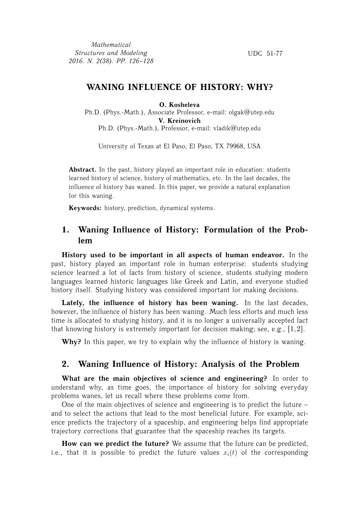*Mathematical Structures and Modeling 2016. N. 2(38). PP. 126–128*

UDC 51-77

## **WANING INFLUENCE OF HISTORY: WHY?**

**O. Kosheleva**

Ph.D. (Phys.-Math.), Associate Professor, e-mail: olgak@utep.edu **V. Kreinovich** Ph.D. (Phys.-Math.), Professor, e-mail: vladik@utep.edu

University of Texas at El Paso, El Paso, TX 79968, USA

Abstract. In the past, history played an important role in education: students learned history of science, history of mathematics, etc. In the last decades, the influence of history has waned. In this paper, we provide a natural explanation for this waning.

**Keywords:** history, prediction, dynamical systems.

# **1. Waning Influence of History: Formulation of the Problem**

**History used to be important in all aspects of human endeavor.** In the past, history played an important role in human enterprise: students studying science learned a lot of facts from history of science, students studying modern languages learned historic languages like Greek and Latin, and everyone studied history itself. Studying history was considered important for making decisions.

**Lately, the influence of history has been waning.** In the last decades, however, the influence of history has been waning. Much less efforts and much less time is allocated to studying history, and it is no longer a universally accepted fact that knowing history is extremely important for decision making; see, e.g., [1, 2].

**Why?** In this paper, we try to explain why the influence of history is waning.

## **2. Waning Influence of History: Analysis of the Problem**

**What are the main objectives of science and engineering?** In order to understand why, as time goes, the importance of history for solving everyday problems wanes, let us recall where these problems come from.

One of the main objectives of science and engineering is to predict the future – and to select the actions that lead to the most beneficial future. For example, science predicts the trajectory of a spaceship, and engineering helps find appropriate trajectory corrections that guarantee that the spaceship reaches its targets.

**How can we predict the future?** We assume that the future can be predicted, i.e., that it is possible to predict the future values  $x_i(t)$  of the corresponding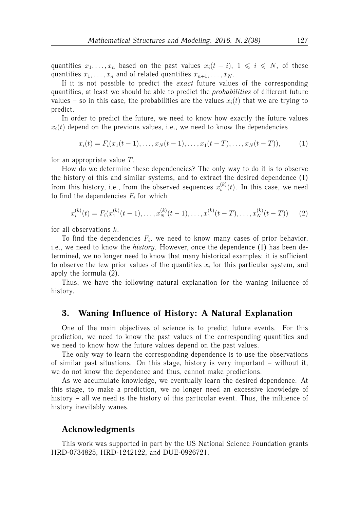quantities  $x_1, \ldots, x_n$  based on the past values  $x_i(t - i)$ ,  $1 \leq i \leq N$ , of these quantities  $x_1, \ldots, x_n$  and of related quantities  $x_{n+1}, \ldots, x_N$ .

If it is not possible to predict the *exact* future values of the corresponding quantities, at least we should be able to predict the *probabilities* of different future values – so in this case, the probabilities are the values  $x_i(t)$  that we are trying to predict.

In order to predict the future, we need to know how exactly the future values  $x_i(t)$  depend on the previous values, i.e., we need to know the dependencies

 $x_i(t) = F_i(x_1(t-1), \ldots, x_N(t-1), \ldots, x_1(t-T), \ldots, x_N(t-T)),$  (1)

for an appropriate value  $T$ .

How do we determine these dependencies? The only way to do it is to observe the history of this and similar systems, and to extract the desired dependence (1) from this history, i.e., from the observed sequences  $x_i^{(k)}$  $i^{(k)}(t)$ . In this case, we need to find the dependencies  $F_i$  for which

$$
x_i^{(k)}(t) = F_i(x_1^{(k)}(t-1), \dots, x_N^{(k)}(t-1), \dots, x_1^{(k)}(t-T), \dots, x_N^{(k)}(t-T)) \tag{2}
$$

for all observations  $k$ .

To find the dependencies  $F_i$ , we need to know many cases of prior behavior, i.e., we need to know the *history*. However, once the dependence (1) has been determined, we no longer need to know that many historical examples: it is sufficient to observe the few prior values of the quantities  $x_i$  for this particular system, and apply the formula (2).

Thus, we have the following natural explanation for the waning influence of history.

#### **3. Waning Influence of History: A Natural Explanation**

One of the main objectives of science is to predict future events. For this prediction, we need to know the past values of the corresponding quantities and we need to know how the future values depend on the past values.

The only way to learn the corresponding dependence is to use the observations of similar past situations. On this stage, history is very important – without it, we do not know the dependence and thus, cannot make predictions.

As we accumulate knowledge, we eventually learn the desired dependence. At this stage, to make a prediction, we no longer need an excessive knowledge of history – all we need is the history of this particular event. Thus, the influence of history inevitably wanes.

### **Acknowledgments**

This work was supported in part by the US National Science Foundation grants HRD-0734825, HRD-1242122, and DUE-0926721.